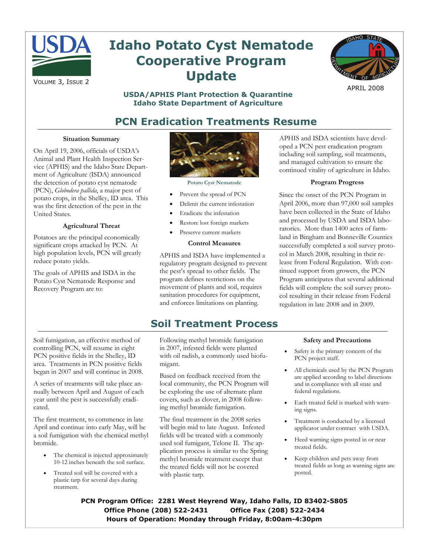

# **Idaho Potato Cyst Nematode Cooperative Program Update**



APRIL 2008

**USDA/APHIS Plant Protection & Quarantine Idaho State Department of Agriculture** 

### **PCN Eradication Treatments Resume**

#### **Situation Summary**

On April 19, 2006, officials of USDA's Animal and Plant Health Inspection Service (APHIS) and the Idaho State Department of Agriculture (ISDA) announced the detection of potato cyst nematode (PCN), *Globodera pallida*, a major pest of potato crops, in the Shelley, ID area. This was the first detection of the pest in the United States.

#### **Agricultural Threat**

Potatoes are the principal economically significant crops attacked by PCN. At high population levels, PCN will greatly reduce potato yields.

The goals of APHIS and ISDA in the Potato Cyst Nematode Response and Recovery Program are to:



**Potato Cyst Nematode** 

- Prevent the spread of PCN
- Delimit the current infestation
- Eradicate the infestation
- Restore lost foreign markets
- Preserve current markets

#### **Control Measures**

APHIS and ISDA have implemented a regulatory program designed to prevent the pest's spread to other fields. The program defines restrictions on the movement of plants and soil, requires sanitation procedures for equipment, and enforces limitations on planting.

## **Soil Treatment Process**

Soil fumigation, an effective method of controlling PCN, will resume in eight PCN positive fields in the Shelley, ID area. Treatments in PCN positive fields began in 2007 and will continue in 2008.

A series of treatments will take place annually between April and August of each year until the pest is successfully eradicated.

The first treatment, to commence in late April and continue into early May, will be a soil fumigation with the chemical methyl bromide.

- The chemical is injected approximately 10-12 inches beneath the soil surface.
- Treated soil will be covered with a plastic tarp for several days during treatment.

Following methyl bromide fumigation in 2007, infested fields were planted with oil radish, a commonly used biofumigant.

Based on feedback received from the local community, the PCN Program will be exploring the use of alternate plant covers, such as clover, in 2008 following methyl bromide fumigation.

The final treatment in the 2008 series will begin mid to late August. Infested fields will be treated with a commonly used soil fumigant, Telone II. The application process is similar to the Spring methyl bromide treatment except that the treated fields will not be covered with plastic tarp.

APHIS and ISDA scientists have developed a PCN pest eradication program including soil sampling, soil treatments, and managed cultivation to ensure the continued vitality of agriculture in Idaho.

#### **Program Progress**

Since the onset of the PCN Program in April 2006, more than 97,000 soil samples have been collected in the State of Idaho and processed by USDA and ISDA laboratories. More than 1400 acres of farmland in Bingham and Bonneville Counties successfully completed a soil survey protocol in March 2008, resulting in their release from Federal Regulation. With continued support from growers, the PCN Program anticipates that several additional fields will complete the soil survey protocol resulting in their release from Federal regulation in late 2008 and in 2009.

#### **Safety and Precautions**

- Safety is the primary concern of the PCN project staff.
- All chemicals used by the PCN Program are applied according to label directions and in compliance with all state and federal regulations.
- Each treated field is marked with warning signs.
- Treatment is conducted by a licensed applicator under contract with USDA.
- Heed warning signs posted in or near treated fields.
- Keep children and pets away from treated fields as long as warning signs are posted.

**PCN Program Office: 2281 West Heyrend Way, Idaho Falls, ID 83402-5805 Office Phone (208) 522-2431 Office Fax (208) 522-2434 Hours of Operation: Monday through Friday, 8:00am-4:30pm**